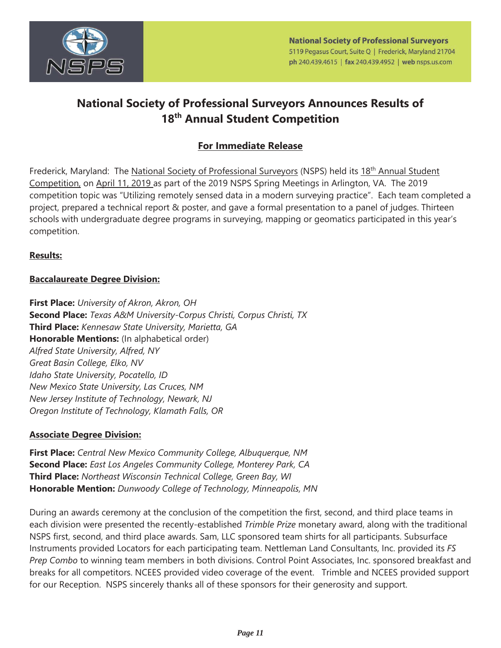

# **National Society of Professional Surveyors Announces Results of 18th Annual Student Competition**

## **For Immediate Release**

Frederick, Maryland: The National Society of Professional Surveyors (NSPS) held its 18<sup>th</sup> Annual Student Competition, on April 11, 2019 as part of the 2019 NSPS Spring Meetings in Arlington, VA. The 2019 competition topic was "Utilizing remotely sensed data in a modern surveying practice". Each team completed a project, prepared a technical report & poster, and gave a formal presentation to a panel of judges. Thirteen schools with undergraduate degree programs in surveying, mapping or geomatics participated in this year's competition.

### **Results:**

### **Baccalaureate Degree Division:**

**First Place:** *University of Akron, Akron, OH* **Second Place:** *Texas A&M University-Corpus Christi, Corpus Christi, TX*  **Third Place:** *Kennesaw State University, Marietta, GA* **Honorable Mentions:** (In alphabetical order) *Alfred State University, Alfred, NY Great Basin College, Elko, NV Idaho State University, Pocatello, ID New Mexico State University, Las Cruces, NM New Jersey Institute of Technology, Newark, NJ Oregon Institute of Technology, Klamath Falls, OR* 

#### **Associate Degree Division:**

**First Place:** *Central New Mexico Community College, Albuquerque, NM*  **Second Place:** *East Los Angeles Community College, Monterey Park, CA* **Third Place:** *Northeast Wisconsin Technical College, Green Bay, WI*  **Honorable Mention:** *Dunwoody College of Technology, Minneapolis, MN* 

During an awards ceremony at the conclusion of the competition the first, second, and third place teams in each division were presented the recently-established *Trimble Prize* monetary award, along with the traditional NSPS first, second, and third place awards. Sam, LLC sponsored team shirts for all participants. Subsurface Instruments provided Locators for each participating team. Nettleman Land Consultants, Inc. provided its *FS Prep Combo* to winning team members in both divisions. Control Point Associates, Inc. sponsored breakfast and breaks for all competitors. NCEES provided video coverage of the event. Trimble and NCEES provided support for our Reception. NSPS sincerely thanks all of these sponsors for their generosity and support.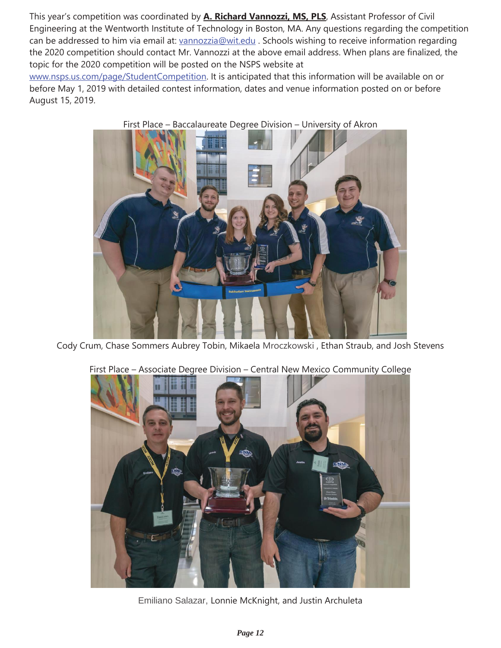This year's competition was coordinated by **A. Richard Vannozzi, MS, PLS**, Assistant Professor of Civil Engineering at the Wentworth Institute of Technology in Boston, MA. Any questions regarding the competition can be addressed to him via email at: vannozzia@wit.edu . Schools wishing to receive information regarding the 2020 competition should contact Mr. Vannozzi at the above email address. When plans are finalized, the topic for the 2020 competition will be posted on the NSPS website at

www.nsps.us.com/page/StudentCompetition. It is anticipated that this information will be available on or before May 1, 2019 with detailed contest information, dates and venue information posted on or before August 15, 2019.



First Place – Baccalaureate Degree Division – University of Akron

Cody Crum, Chase Sommers Aubrey Tobin, Mikaela Mroczkowski , Ethan Straub, and Josh Stevens



First Place – Associate Degree Division – Central New Mexico Community College

Emiliano Salazar, Lonnie McKnight, and Justin Archuleta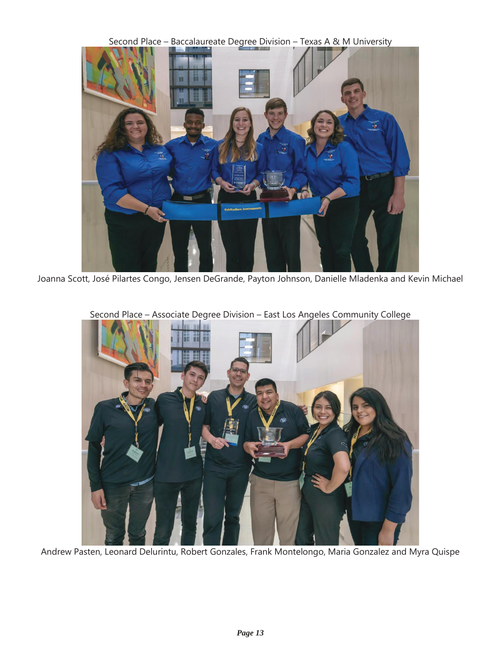

Second Place – Baccalaureate Degree Division – Texas A & M University

Joanna Scott, José Pilartes Congo, Jensen DeGrande, Payton Johnson, Danielle Mladenka and Kevin Michael





Andrew Pasten, Leonard Delurintu, Robert Gonzales, Frank Montelongo, Maria Gonzalez and Myra Quispe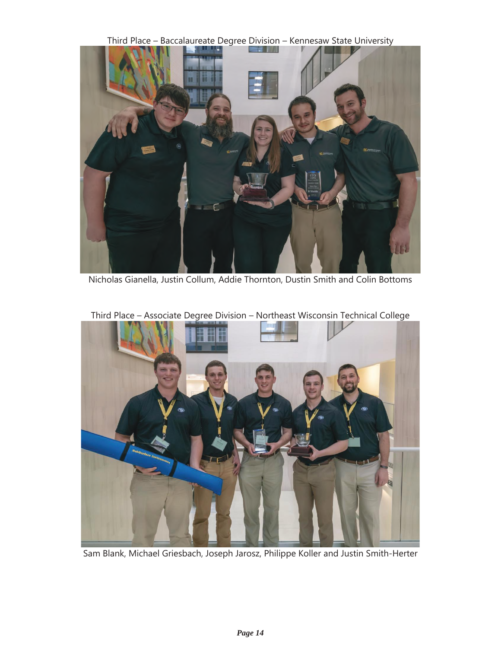Third Place – Baccalaureate Degree Division – Kennesaw State University



Nicholas Gianella, Justin Collum, Addie Thornton, Dustin Smith and Colin Bottoms



Third Place – Associate Degree Division – Northeast Wisconsin Technical College

Sam Blank, Michael Griesbach, Joseph Jarosz, Philippe Koller and Justin Smith-Herter